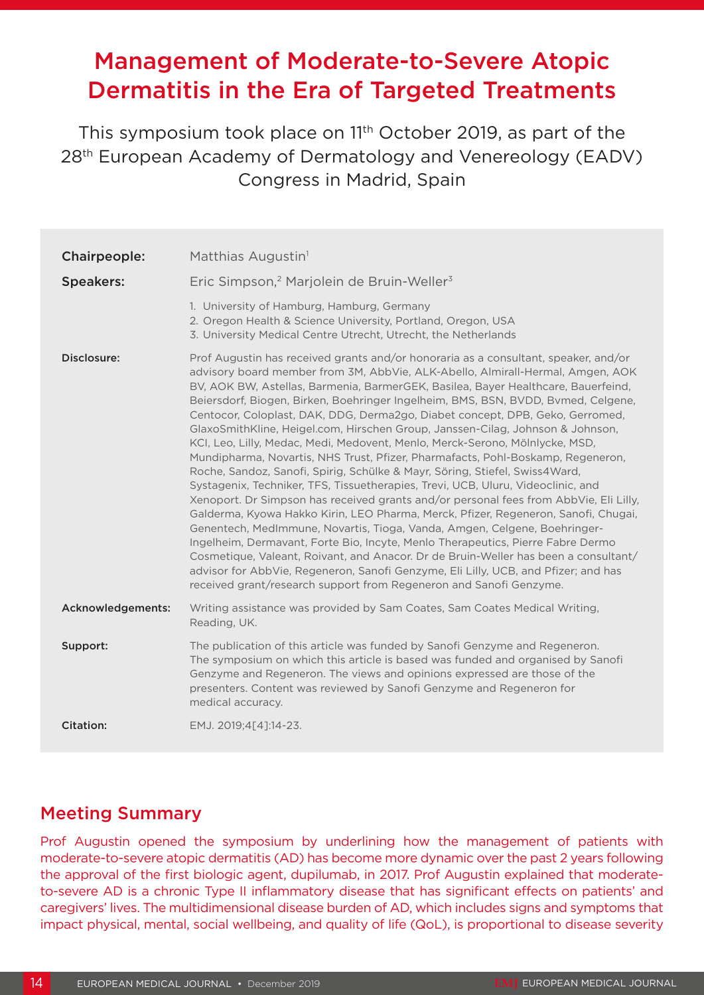# Management of Moderate-to-Severe Atopic Dermatitis in the Era of Targeted Treatments

This symposium took place on 11th October 2019, as part of the 28th European Academy of Dermatology and Venereology (EADV) Congress in Madrid, Spain

| Chairpeople:      | Matthias Augustin <sup>1</sup>                                                                                                                                                                                                                                                                                                                                                                                                                                                                                                                                                                                                                                                                                                                                                                                                                                                                                                                                                                                                                                                                                                                                                                                                                                                                                                                                                                                                                             |
|-------------------|------------------------------------------------------------------------------------------------------------------------------------------------------------------------------------------------------------------------------------------------------------------------------------------------------------------------------------------------------------------------------------------------------------------------------------------------------------------------------------------------------------------------------------------------------------------------------------------------------------------------------------------------------------------------------------------------------------------------------------------------------------------------------------------------------------------------------------------------------------------------------------------------------------------------------------------------------------------------------------------------------------------------------------------------------------------------------------------------------------------------------------------------------------------------------------------------------------------------------------------------------------------------------------------------------------------------------------------------------------------------------------------------------------------------------------------------------------|
| <b>Speakers:</b>  | Eric Simpson, <sup>2</sup> Marjolein de Bruin-Weller <sup>3</sup>                                                                                                                                                                                                                                                                                                                                                                                                                                                                                                                                                                                                                                                                                                                                                                                                                                                                                                                                                                                                                                                                                                                                                                                                                                                                                                                                                                                          |
|                   | 1. University of Hamburg, Hamburg, Germany<br>2. Oregon Health & Science University, Portland, Oregon, USA<br>3. University Medical Centre Utrecht, Utrecht, the Netherlands                                                                                                                                                                                                                                                                                                                                                                                                                                                                                                                                                                                                                                                                                                                                                                                                                                                                                                                                                                                                                                                                                                                                                                                                                                                                               |
| Disclosure:       | Prof Augustin has received grants and/or honoraria as a consultant, speaker, and/or<br>advisory board member from 3M, AbbVie, ALK-Abello, Almirall-Hermal, Amgen, AOK<br>BV, AOK BW, Astellas, Barmenia, BarmerGEK, Basilea, Bayer Healthcare, Bauerfeind,<br>Beiersdorf, Biogen, Birken, Boehringer Ingelheim, BMS, BSN, BVDD, Bvmed, Celgene,<br>Centocor, Coloplast, DAK, DDG, Derma2go, Diabet concept, DPB, Geko, Gerromed,<br>GlaxoSmithKline, Heigel.com, Hirschen Group, Janssen-Cilag, Johnson & Johnson,<br>KCI, Leo, Lilly, Medac, Medi, Medovent, Menlo, Merck-Serono, Mölnlycke, MSD,<br>Mundipharma, Novartis, NHS Trust, Pfizer, Pharmafacts, Pohl-Boskamp, Regeneron,<br>Roche, Sandoz, Sanofi, Spirig, Schülke & Mayr, Söring, Stiefel, Swiss4Ward,<br>Systagenix, Techniker, TFS, Tissuetherapies, Trevi, UCB, Uluru, Videoclinic, and<br>Xenoport. Dr Simpson has received grants and/or personal fees from AbbVie, Eli Lilly,<br>Galderma, Kyowa Hakko Kirin, LEO Pharma, Merck, Pfizer, Regeneron, Sanofi, Chugai,<br>Genentech, MedImmune, Novartis, Tioga, Vanda, Amgen, Celgene, Boehringer-<br>Ingelheim, Dermavant, Forte Bio, Incyte, Menlo Therapeutics, Pierre Fabre Dermo<br>Cosmetique, Valeant, Roivant, and Anacor. Dr de Bruin-Weller has been a consultant/<br>advisor for AbbVie, Regeneron, Sanofi Genzyme, Eli Lilly, UCB, and Pfizer; and has<br>received grant/research support from Regeneron and Sanofi Genzyme. |
| Acknowledgements: | Writing assistance was provided by Sam Coates, Sam Coates Medical Writing,<br>Reading, UK.                                                                                                                                                                                                                                                                                                                                                                                                                                                                                                                                                                                                                                                                                                                                                                                                                                                                                                                                                                                                                                                                                                                                                                                                                                                                                                                                                                 |
| Support:          | The publication of this article was funded by Sanofi Genzyme and Regeneron.<br>The symposium on which this article is based was funded and organised by Sanofi<br>Genzyme and Regeneron. The views and opinions expressed are those of the<br>presenters. Content was reviewed by Sanofi Genzyme and Regeneron for<br>medical accuracy.                                                                                                                                                                                                                                                                                                                                                                                                                                                                                                                                                                                                                                                                                                                                                                                                                                                                                                                                                                                                                                                                                                                    |
| Citation:         | EMJ. 2019;4[4]:14-23.                                                                                                                                                                                                                                                                                                                                                                                                                                                                                                                                                                                                                                                                                                                                                                                                                                                                                                                                                                                                                                                                                                                                                                                                                                                                                                                                                                                                                                      |

# Meeting Summary

Prof Augustin opened the symposium by underlining how the management of patients with moderate-to-severe atopic dermatitis (AD) has become more dynamic over the past 2 years following the approval of the first biologic agent, dupilumab, in 2017. Prof Augustin explained that moderateto-severe AD is a chronic Type II inflammatory disease that has significant effects on patients' and caregivers' lives. The multidimensional disease burden of AD, which includes signs and symptoms that impact physical, mental, social wellbeing, and quality of life (QoL), is proportional to disease severity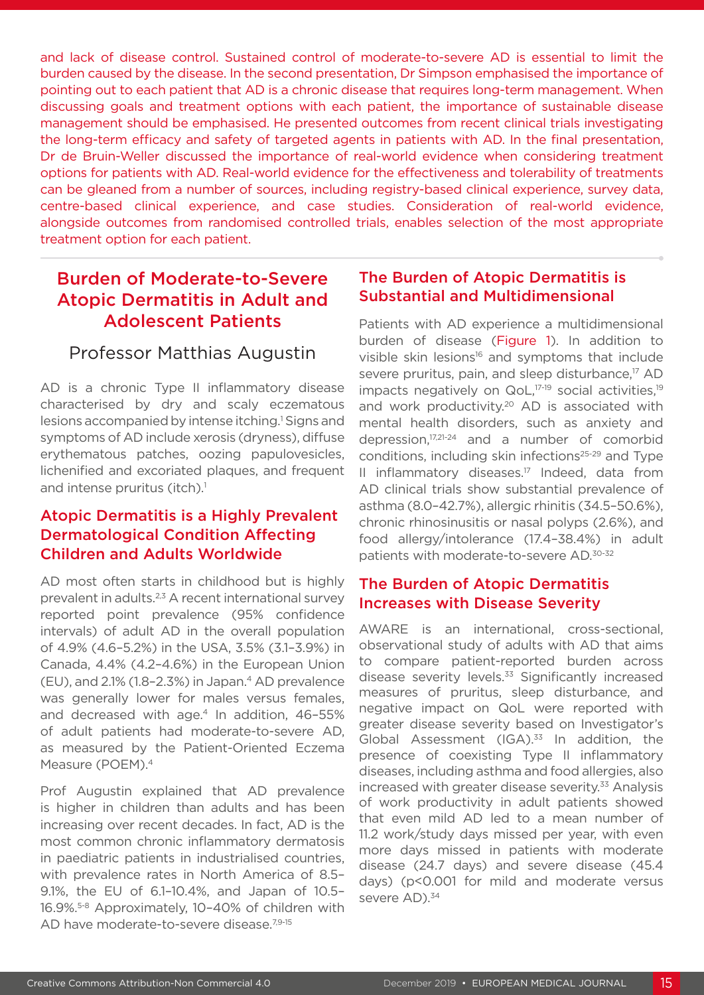and lack of disease control. Sustained control of moderate-to-severe AD is essential to limit the burden caused by the disease. In the second presentation, Dr Simpson emphasised the importance of pointing out to each patient that AD is a chronic disease that requires long-term management. When discussing goals and treatment options with each patient, the importance of sustainable disease management should be emphasised. He presented outcomes from recent clinical trials investigating the long-term efficacy and safety of targeted agents in patients with AD. In the final presentation, Dr de Bruin-Weller discussed the importance of real-world evidence when considering treatment options for patients with AD. Real-world evidence for the effectiveness and tolerability of treatments can be gleaned from a number of sources, including registry-based clinical experience, survey data, centre-based clinical experience, and case studies. Consideration of real-world evidence, alongside outcomes from randomised controlled trials, enables selection of the most appropriate treatment option for each patient.

# Burden of Moderate-to-Severe Atopic Dermatitis in Adult and Adolescent Patients

### Professor Matthias Augustin

AD is a chronic Type II inflammatory disease characterised by dry and scaly eczematous lesions accompanied by intense itching.<sup>1</sup> Signs and symptoms of AD include xerosis (dryness), diffuse erythematous patches, oozing papulovesicles, lichenified and excoriated plaques, and frequent and intense pruritus (itch).<sup>1</sup>

### Atopic Dermatitis is a Highly Prevalent Dermatological Condition Affecting Children and Adults Worldwide

AD most often starts in childhood but is highly prevalent in adults.<sup>2,3</sup> A recent international survey reported point prevalence (95% confidence intervals) of adult AD in the overall population of 4.9% (4.6–5.2%) in the USA, 3.5% (3.1–3.9%) in Canada, 4.4% (4.2–4.6%) in the European Union (EU), and 2.1% (1.8–2.3%) in Japan.4 AD prevalence was generally lower for males versus females, and decreased with age. $4$  In addition, 46-55% of adult patients had moderate-to-severe AD, as measured by the Patient-Oriented Eczema Measure (POEM).4

Prof Augustin explained that AD prevalence is higher in children than adults and has been increasing over recent decades. In fact, AD is the most common chronic inflammatory dermatosis in paediatric patients in industrialised countries, with prevalence rates in North America of 8.5– 9.1%, the EU of 6.1–10.4%, and Japan of 10.5– 16.9%.5-8 Approximately, 10–40% of children with AD have moderate-to-severe disease.<sup>7,9-15</sup>

### The Burden of Atopic Dermatitis is Substantial and Multidimensional

Patients with AD experience a multidimensional burden of disease (Figure 1). In addition to visible skin lesions<sup>16</sup> and symptoms that include severe pruritus, pain, and sleep disturbance,<sup>17</sup> AD impacts negatively on QoL,<sup>17-19</sup> social activities,<sup>19</sup> and work productivity.<sup>20</sup> AD is associated with mental health disorders, such as anxiety and depression,17,21-24 and a number of comorbid conditions, including skin infections<sup>25-29</sup> and Type II inflammatory diseases.<sup>17</sup> Indeed, data from AD clinical trials show substantial prevalence of asthma (8.0–42.7%), allergic rhinitis (34.5–50.6%), chronic rhinosinusitis or nasal polyps (2.6%), and food allergy/intolerance (17.4–38.4%) in adult patients with moderate-to-severe AD.30-32

### The Burden of Atopic Dermatitis Increases with Disease Severity

AWARE is an international, cross-sectional, observational study of adults with AD that aims to compare patient-reported burden across disease severity levels.<sup>33</sup> Significantly increased measures of pruritus, sleep disturbance, and negative impact on QoL were reported with greater disease severity based on Investigator's Global Assessment (IGA). $33$  In addition, the presence of coexisting Type II inflammatory diseases, including asthma and food allergies, also increased with greater disease severity.<sup>33</sup> Analysis of work productivity in adult patients showed that even mild AD led to a mean number of 11.2 work/study days missed per year, with even more days missed in patients with moderate disease (24.7 days) and severe disease (45.4 days) (p<0.001 for mild and moderate versus severe AD).<sup>34</sup>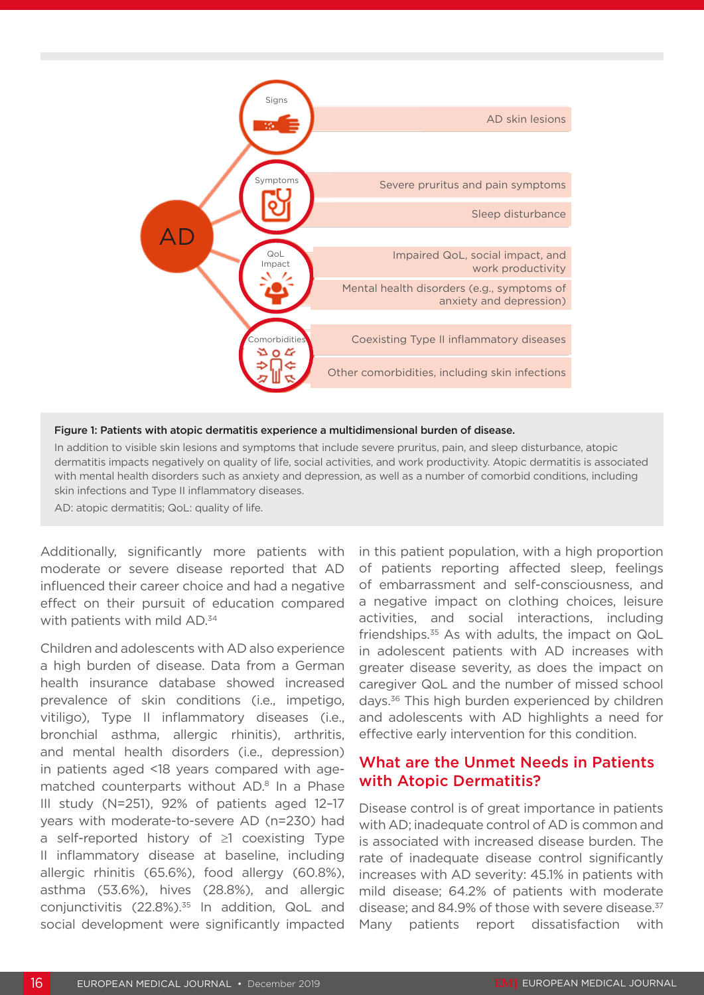

#### Figure 1: Patients with atopic dermatitis experience a multidimensional burden of disease.

In addition to visible skin lesions and symptoms that include severe pruritus, pain, and sleep disturbance, atopic dermatitis impacts negatively on quality of life, social activities, and work productivity. Atopic dermatitis is associated with mental health disorders such as anxiety and depression, as well as a number of comorbid conditions, including skin infections and Type II inflammatory diseases.

AD: atopic dermatitis; QoL: quality of life.

Additionally, significantly more patients with moderate or severe disease reported that AD influenced their career choice and had a negative effect on their pursuit of education compared with patients with mild AD.<sup>34</sup>

Children and adolescents with AD also experience a high burden of disease. Data from a German health insurance database showed increased prevalence of skin conditions (i.e., impetigo, vitiligo), Type II inflammatory diseases (i.e., bronchial asthma, allergic rhinitis), arthritis, and mental health disorders (i.e., depression) in patients aged <18 years compared with agematched counterparts without AD.<sup>8</sup> In a Phase III study (N=251), 92% of patients aged 12–17 years with moderate-to-severe AD (n=230) had a self-reported history of ≥1 coexisting Type II inflammatory disease at baseline, including allergic rhinitis (65.6%), food allergy (60.8%), asthma (53.6%), hives (28.8%), and allergic conjunctivitis (22.8%).<sup>35</sup> In addition, QoL and social development were significantly impacted

in this patient population, with a high proportion of patients reporting affected sleep, feelings of embarrassment and self-consciousness, and a negative impact on clothing choices, leisure activities, and social interactions, including friendships. $35$  As with adults, the impact on QoL in adolescent patients with AD increases with greater disease severity, as does the impact on caregiver QoL and the number of missed school days.36 This high burden experienced by children and adolescents with AD highlights a need for effective early intervention for this condition.

### What are the Unmet Needs in Patients with Atopic Dermatitis?

Disease control is of great importance in patients with AD; inadequate control of AD is common and is associated with increased disease burden. The rate of inadequate disease control significantly increases with AD severity: 45.1% in patients with mild disease; 64.2% of patients with moderate disease; and 84.9% of those with severe disease.<sup>37</sup> Many patients report dissatisfaction with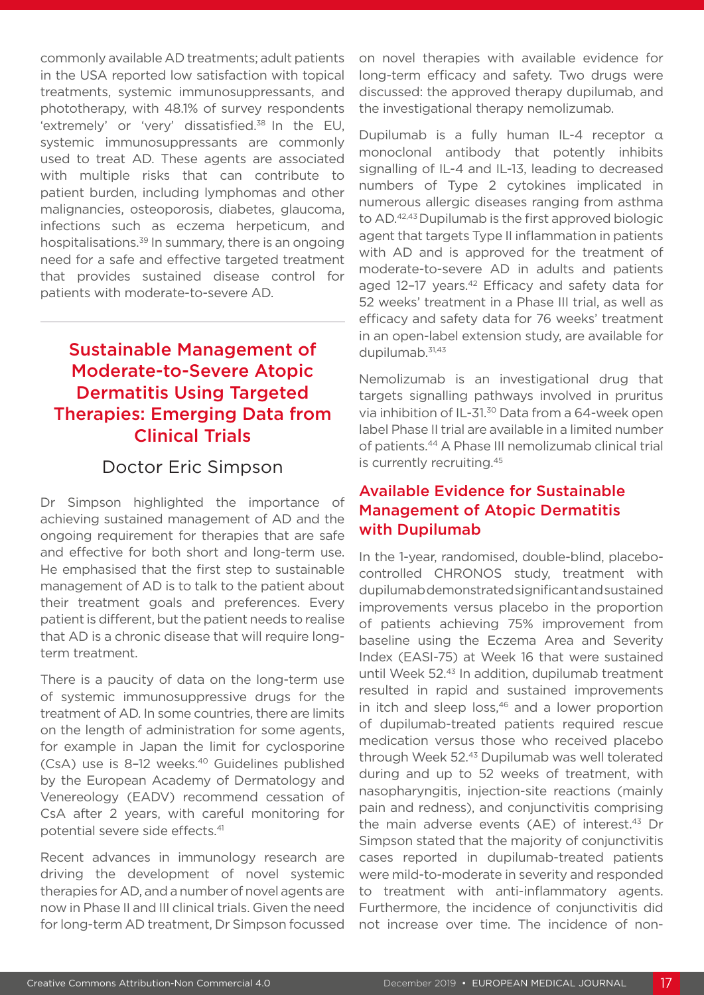commonly available AD treatments; adult patients in the USA reported low satisfaction with topical treatments, systemic immunosuppressants, and phototherapy, with 48.1% of survey respondents 'extremely' or 'very' dissatisfied.38 In the EU, systemic immunosuppressants are commonly used to treat AD. These agents are associated with multiple risks that can contribute to patient burden, including lymphomas and other malignancies, osteoporosis, diabetes, glaucoma, infections such as eczema herpeticum, and hospitalisations.<sup>39</sup> In summary, there is an ongoing need for a safe and effective targeted treatment that provides sustained disease control for patients with moderate-to-severe AD.

# Sustainable Management of Moderate-to-Severe Atopic Dermatitis Using Targeted Therapies: Emerging Data from Clinical Trials

## Doctor Eric Simpson

Dr Simpson highlighted the importance of achieving sustained management of AD and the ongoing requirement for therapies that are safe and effective for both short and long-term use. He emphasised that the first step to sustainable management of AD is to talk to the patient about their treatment goals and preferences. Every patient is different, but the patient needs to realise that AD is a chronic disease that will require longterm treatment.

There is a paucity of data on the long-term use of systemic immunosuppressive drugs for the treatment of AD. In some countries, there are limits on the length of administration for some agents, for example in Japan the limit for cyclosporine (CsA) use is 8-12 weeks.<sup>40</sup> Guidelines published by the European Academy of Dermatology and Venereology (EADV) recommend cessation of CsA after 2 years, with careful monitoring for potential severe side effects.41

Recent advances in immunology research are driving the development of novel systemic therapies for AD, and a number of novel agents are now in Phase II and III clinical trials. Given the need for long-term AD treatment, Dr Simpson focussed

on novel therapies with available evidence for long-term efficacy and safety. Two drugs were discussed: the approved therapy dupilumab, and the investigational therapy nemolizumab.

Dupilumab is a fully human IL-4 receptor α monoclonal antibody that potently inhibits signalling of IL-4 and IL-13, leading to decreased numbers of Type 2 cytokines implicated in numerous allergic diseases ranging from asthma to AD.42,43 Dupilumab is the first approved biologic agent that targets Type II inflammation in patients with AD and is approved for the treatment of moderate-to-severe AD in adults and patients aged 12-17 years.<sup>42</sup> Efficacy and safety data for 52 weeks' treatment in a Phase III trial, as well as efficacy and safety data for 76 weeks' treatment in an open-label extension study, are available for dupilumab. $31,43$ 

Nemolizumab is an investigational drug that targets signalling pathways involved in pruritus via inhibition of IL-31.30 Data from a 64-week open label Phase II trial are available in a limited number of patients.44 A Phase III nemolizumab clinical trial is currently recruiting.45

### Available Evidence for Sustainable Management of Atopic Dermatitis with Dupilumab

In the 1-year, randomised, double-blind, placebocontrolled CHRONOS study, treatment with dupilumab demonstrated significant and sustained improvements versus placebo in the proportion of patients achieving 75% improvement from baseline using the Eczema Area and Severity Index (EASI-75) at Week 16 that were sustained until Week 52.43 In addition, dupilumab treatment resulted in rapid and sustained improvements in itch and sleep loss, $46$  and a lower proportion of dupilumab-treated patients required rescue medication versus those who received placebo through Week 52.43 Dupilumab was well tolerated during and up to 52 weeks of treatment, with nasopharyngitis, injection-site reactions (mainly pain and redness), and conjunctivitis comprising the main adverse events  $(AE)$  of interest.<sup>43</sup> Dr Simpson stated that the majority of conjunctivitis cases reported in dupilumab-treated patients were mild-to-moderate in severity and responded to treatment with anti-inflammatory agents. Furthermore, the incidence of conjunctivitis did not increase over time. The incidence of non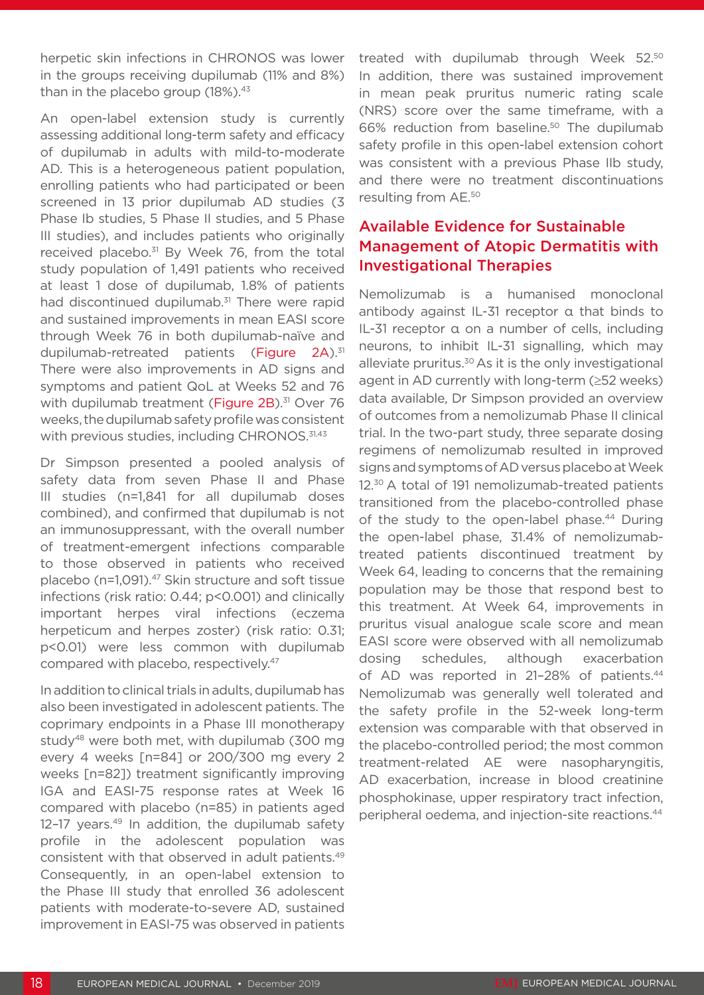herpetic skin infections in CHRONOS was lower in the groups receiving dupilumab (11% and 8%) than in the placebo group  $(18\%)$ .<sup>43</sup>

An open-label extension study is currently assessing additional long-term safety and efficacy of dupilumab in adults with mild-to-moderate AD. This is a heterogeneous patient population, enrolling patients who had participated or been screened in 13 prior dupilumab AD studies (3 Phase Ib studies, 5 Phase II studies, and 5 Phase III studies), and includes patients who originally received placebo.<sup>31</sup> By Week 76, from the total study population of 1,491 patients who received at least 1 dose of dupilumab, 1.8% of patients had discontinued dupilumab.<sup>31</sup> There were rapid and sustained improvements in mean EASI score through Week 76 in both dupilumab-naïve and dupilumab-retreated patients (Figure 2A).<sup>31</sup> There were also improvements in AD signs and symptoms and patient QoL at Weeks 52 and 76 with dupilumab treatment (Figure 2B).<sup>31</sup> Over 76 weeks, the dupilumab safety profile was consistent with previous studies, including CHRONOS.<sup>31,43</sup>

Dr Simpson presented a pooled analysis of safety data from seven Phase II and Phase III studies (n=1,841 for all dupilumab doses combined), and confirmed that dupilumab is not an immunosuppressant, with the overall number of treatment-emergent infections comparable to those observed in patients who received placebo (n=1,091).47 Skin structure and soft tissue infections (risk ratio: 0.44; p<0.001) and clinically important herpes viral infections (eczema herpeticum and herpes zoster) (risk ratio: 0.31; p<0.01) were less common with dupilumab compared with placebo, respectively.47

In addition to clinical trials in adults, dupilumab has also been investigated in adolescent patients. The coprimary endpoints in a Phase III monotherapy study<sup>48</sup> were both met, with dupilumab (300 mg every 4 weeks [n=84] or 200/300 mg every 2 weeks [n=82]) treatment significantly improving IGA and EASI-75 response rates at Week 16 compared with placebo (n=85) in patients aged 12-17 years.<sup>49</sup> In addition, the dupilumab safety profile in the adolescent population was consistent with that observed in adult patients.49 Consequently, in an open-label extension to the Phase III study that enrolled 36 adolescent patients with moderate-to-severe AD, sustained improvement in EASI-75 was observed in patients

treated with dupilumab through Week 52.50 In addition, there was sustained improvement in mean peak pruritus numeric rating scale (NRS) score over the same timeframe, with a 66% reduction from baseline.50 The dupilumab safety profile in this open-label extension cohort was consistent with a previous Phase IIb study, and there were no treatment discontinuations resulting from AE.50

### Available Evidence for Sustainable Management of Atopic Dermatitis with Investigational Therapies

Nemolizumab is a humanised monoclonal antibody against IL-31 receptor α that binds to IL-31 receptor α on a number of cells, including neurons, to inhibit IL-31 signalling, which may alleviate pruritus.<sup>30</sup> As it is the only investigational agent in AD currently with long-term (≥52 weeks) data available, Dr Simpson provided an overview of outcomes from a nemolizumab Phase II clinical trial. In the two-part study, three separate dosing regimens of nemolizumab resulted in improved signs and symptoms of AD versus placebo at Week 12.<sup>30</sup> A total of 191 nemolizumab-treated patients transitioned from the placebo-controlled phase of the study to the open-label phase.<sup>44</sup> During the open-label phase, 31.4% of nemolizumabtreated patients discontinued treatment by Week 64, leading to concerns that the remaining population may be those that respond best to this treatment. At Week 64, improvements in pruritus visual analogue scale score and mean EASI score were observed with all nemolizumab dosing schedules, although exacerbation of AD was reported in 21-28% of patients.<sup>44</sup> Nemolizumab was generally well tolerated and the safety profile in the 52-week long-term extension was comparable with that observed in the placebo-controlled period; the most common treatment-related AE were nasopharyngitis, AD exacerbation, increase in blood creatinine phosphokinase, upper respiratory tract infection, peripheral oedema, and injection-site reactions.44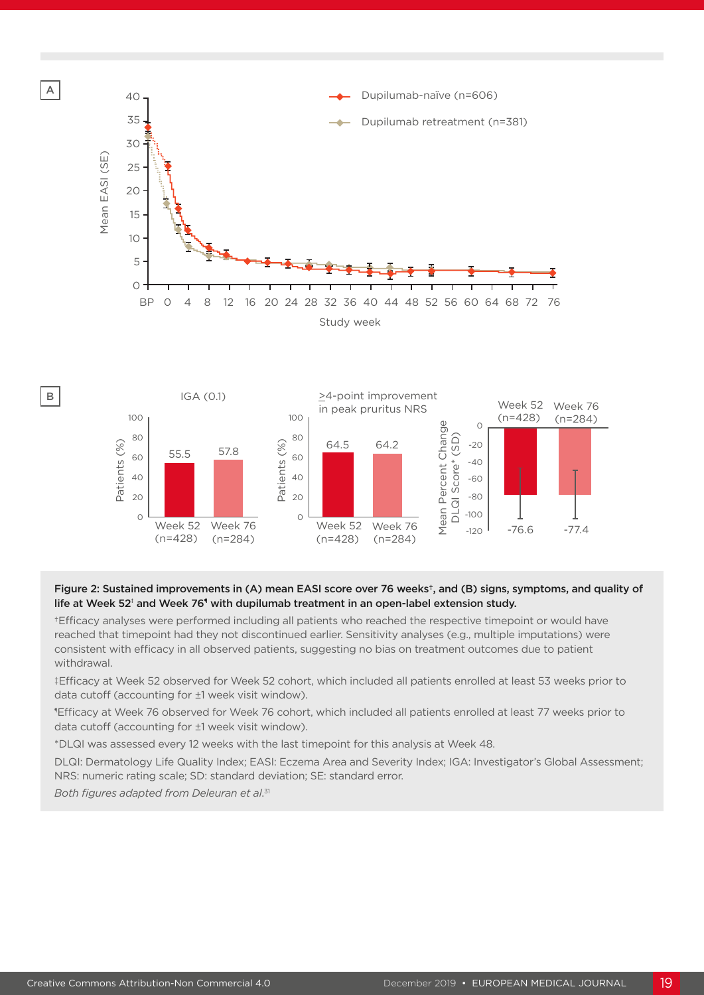



#### Figure 2: Sustained improvements in (A) mean EASI score over 76 weeks†, and (B) signs, symptoms, and quality of life at Week 52‡ and Week 76° with dupilumab treatment in an open-label extension study.

†Efficacy analyses were performed including all patients who reached the respective timepoint or would have reached that timepoint had they not discontinued earlier. Sensitivity analyses (e.g., multiple imputations) were consistent with efficacy in all observed patients, suggesting no bias on treatment outcomes due to patient withdrawal.

‡Efficacy at Week 52 observed for Week 52 cohort, which included all patients enrolled at least 53 weeks prior to data cutoff (accounting for ±1 week visit window).

¶ Efficacy at Week 76 observed for Week 76 cohort, which included all patients enrolled at least 77 weeks prior to data cutoff (accounting for ±1 week visit window).

\*DLQI was assessed every 12 weeks with the last timepoint for this analysis at Week 48.

DLQI: Dermatology Life Quality Index; EASI: Eczema Area and Severity Index; IGA: Investigator's Global Assessment; NRS: numeric rating scale; SD: standard deviation; SE: standard error.

*Both figures adapted from Deleuran et al*. 31

A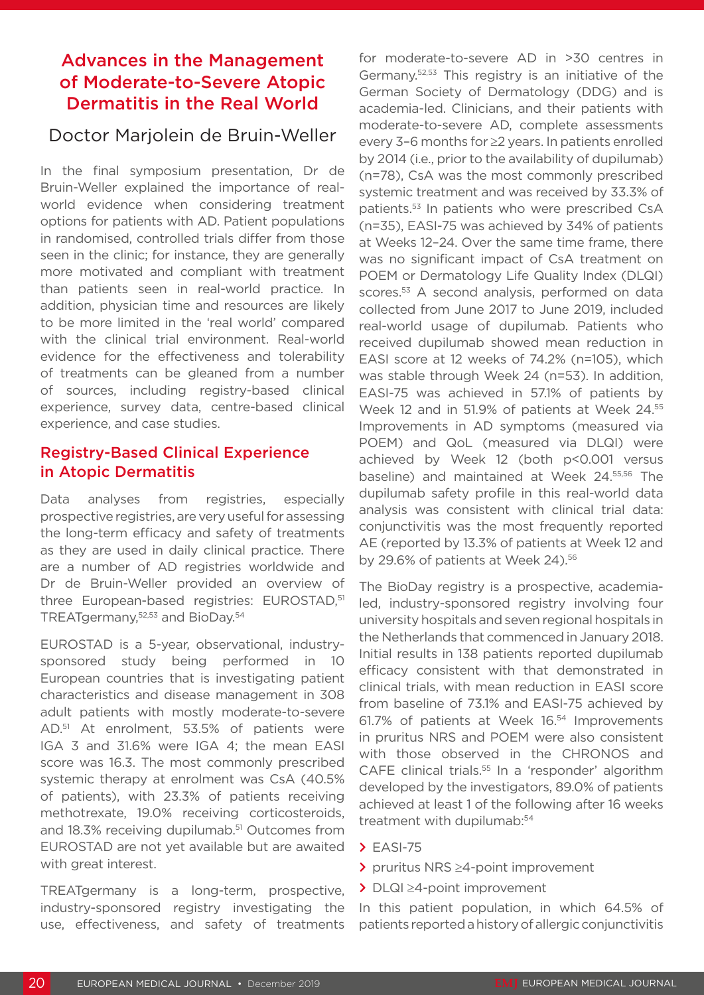# Advances in the Management of Moderate-to-Severe Atopic Dermatitis in the Real World

### Doctor Marjolein de Bruin-Weller

In the final symposium presentation, Dr de Bruin-Weller explained the importance of realworld evidence when considering treatment options for patients with AD. Patient populations in randomised, controlled trials differ from those seen in the clinic; for instance, they are generally more motivated and compliant with treatment than patients seen in real-world practice. In addition, physician time and resources are likely to be more limited in the 'real world' compared with the clinical trial environment. Real-world evidence for the effectiveness and tolerability of treatments can be gleaned from a number of sources, including registry-based clinical experience, survey data, centre-based clinical experience, and case studies.

### Registry-Based Clinical Experience in Atopic Dermatitis

Data analyses from registries, especially prospective registries, are very useful for assessing the long-term efficacy and safety of treatments as they are used in daily clinical practice. There are a number of AD registries worldwide and Dr de Bruin-Weller provided an overview of three European-based registries: EUROSTAD,<sup>51</sup> TREATgermany,52,53 and BioDay.54

EUROSTAD is a 5-year, observational, industrysponsored study being performed in 10 European countries that is investigating patient characteristics and disease management in 308 adult patients with mostly moderate-to-severe AD.51 At enrolment, 53.5% of patients were IGA 3 and 31.6% were IGA 4; the mean EASI score was 16.3. The most commonly prescribed systemic therapy at enrolment was CsA (40.5% of patients), with 23.3% of patients receiving methotrexate, 19.0% receiving corticosteroids, and 18.3% receiving dupilumab.<sup>51</sup> Outcomes from EUROSTAD are not yet available but are awaited with great interest.

TREATgermany is a long-term, prospective, industry-sponsored registry investigating the use, effectiveness, and safety of treatments

for moderate-to-severe AD in >30 centres in Germany.52,53 This registry is an initiative of the German Society of Dermatology (DDG) and is academia-led. Clinicians, and their patients with moderate-to-severe AD, complete assessments every 3–6 months for ≥2 years. In patients enrolled by 2014 (i.e., prior to the availability of dupilumab) (n=78), CsA was the most commonly prescribed systemic treatment and was received by 33.3% of patients.53 In patients who were prescribed CsA (n=35), EASI-75 was achieved by 34% of patients at Weeks 12–24. Over the same time frame, there was no significant impact of CsA treatment on POEM or Dermatology Life Quality Index (DLQI) scores.<sup>53</sup> A second analysis, performed on data collected from June 2017 to June 2019, included real-world usage of dupilumab. Patients who received dupilumab showed mean reduction in EASI score at 12 weeks of 74.2% (n=105), which was stable through Week 24 (n=53). In addition, EASI-75 was achieved in 57.1% of patients by Week 12 and in 51.9% of patients at Week 24.55 Improvements in AD symptoms (measured via POEM) and QoL (measured via DLQI) were achieved by Week 12 (both p<0.001 versus baseline) and maintained at Week 24.<sup>55,56</sup> The dupilumab safety profile in this real-world data analysis was consistent with clinical trial data: conjunctivitis was the most frequently reported AE (reported by 13.3% of patients at Week 12 and by 29.6% of patients at Week 24).<sup>56</sup>

The BioDay registry is a prospective, academialed, industry-sponsored registry involving four university hospitals and seven regional hospitals in the Netherlands that commenced in January 2018. Initial results in 138 patients reported dupilumab efficacy consistent with that demonstrated in clinical trials, with mean reduction in EASI score from baseline of 73.1% and EASI-75 achieved by 61.7% of patients at Week 16.54 Improvements in pruritus NRS and POEM were also consistent with those observed in the CHRONOS and CAFE clinical trials.<sup>55</sup> In a 'responder' algorithm developed by the investigators, 89.0% of patients achieved at least 1 of the following after 16 weeks treatment with dupilumab:54

- **>** EASI-75
- **>** pruritus NRS ≥4-point improvement
- **>** DLQI ≥4-point improvement

In this patient population, in which 64.5% of patients reported a history of allergic conjunctivitis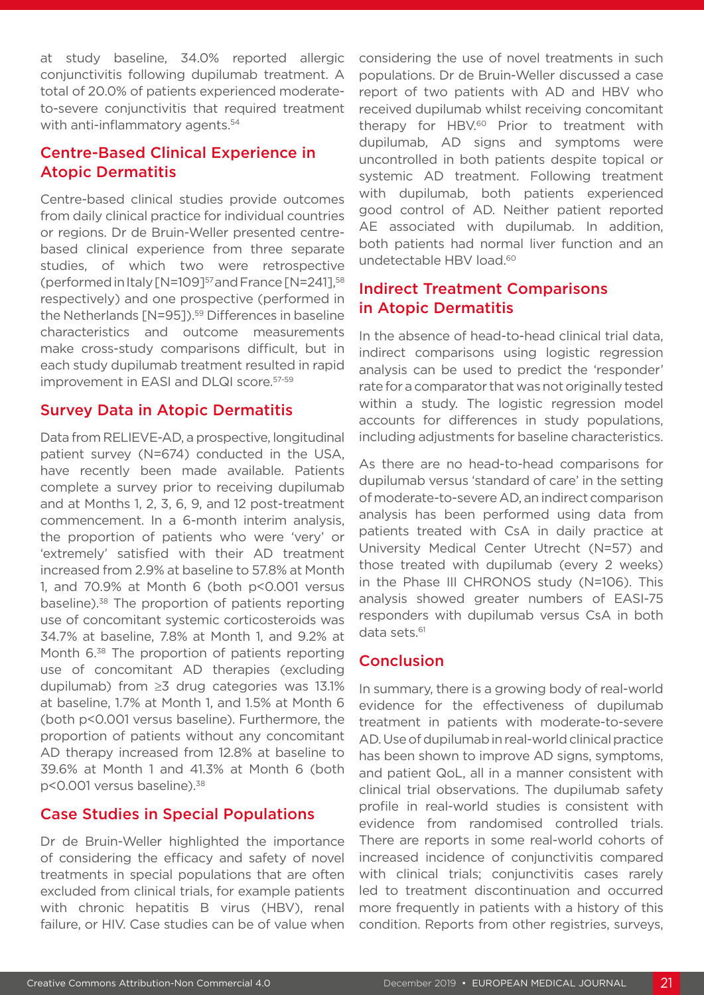at study baseline, 34.0% reported allergic conjunctivitis following dupilumab treatment. A total of 20.0% of patients experienced moderateto-severe conjunctivitis that required treatment with anti-inflammatory agents.<sup>54</sup>

### Centre-Based Clinical Experience in Atopic Dermatitis

Centre-based clinical studies provide outcomes from daily clinical practice for individual countries or regions. Dr de Bruin-Weller presented centrebased clinical experience from three separate studies, of which two were retrospective (performed in Italy [N=109]57 and France [N=241],58 respectively) and one prospective (performed in the Netherlands [N=95]).<sup>59</sup> Differences in baseline characteristics and outcome measurements make cross-study comparisons difficult, but in each study dupilumab treatment resulted in rapid improvement in EASI and DLQI score.57-59

### Survey Data in Atopic Dermatitis

Data from RELIEVE-AD, a prospective, longitudinal patient survey (N=674) conducted in the USA, have recently been made available. Patients complete a survey prior to receiving dupilumab and at Months 1, 2, 3, 6, 9, and 12 post-treatment commencement. In a 6-month interim analysis, the proportion of patients who were 'very' or 'extremely' satisfied with their AD treatment increased from 2.9% at baseline to 57.8% at Month 1, and 70.9% at Month 6 (both p<0.001 versus baseline).38 The proportion of patients reporting use of concomitant systemic corticosteroids was 34.7% at baseline, 7.8% at Month 1, and 9.2% at Month 6.<sup>38</sup> The proportion of patients reporting use of concomitant AD therapies (excluding dupilumab) from ≥3 drug categories was 13.1% at baseline, 1.7% at Month 1, and 1.5% at Month 6 (both p<0.001 versus baseline). Furthermore, the proportion of patients without any concomitant AD therapy increased from 12.8% at baseline to 39.6% at Month 1 and 41.3% at Month 6 (both p<0.001 versus baseline).38

### Case Studies in Special Populations

Dr de Bruin-Weller highlighted the importance of considering the efficacy and safety of novel treatments in special populations that are often excluded from clinical trials, for example patients with chronic hepatitis B virus (HBV), renal failure, or HIV. Case studies can be of value when considering the use of novel treatments in such populations. Dr de Bruin-Weller discussed a case report of two patients with AD and HBV who received dupilumab whilst receiving concomitant therapy for HBV.<sup>60</sup> Prior to treatment with dupilumab, AD signs and symptoms were uncontrolled in both patients despite topical or systemic AD treatment. Following treatment with dupilumab, both patients experienced good control of AD. Neither patient reported AE associated with dupilumab. In addition, both patients had normal liver function and an undetectable HBV load.<sup>60</sup>

### Indirect Treatment Comparisons in Atopic Dermatitis

In the absence of head-to-head clinical trial data, indirect comparisons using logistic regression analysis can be used to predict the 'responder' rate for a comparator that was not originally tested within a study. The logistic regression model accounts for differences in study populations, including adjustments for baseline characteristics.

As there are no head-to-head comparisons for dupilumab versus 'standard of care' in the setting of moderate-to-severe AD, an indirect comparison analysis has been performed using data from patients treated with CsA in daily practice at University Medical Center Utrecht (N=57) and those treated with dupilumab (every 2 weeks) in the Phase III CHRONOS study (N=106). This analysis showed greater numbers of EASI-75 responders with dupilumab versus CsA in both data sets.<sup>61</sup>

### **Conclusion**

In summary, there is a growing body of real-world evidence for the effectiveness of dupilumab treatment in patients with moderate-to-severe AD. Use of dupilumab in real-world clinical practice has been shown to improve AD signs, symptoms, and patient QoL, all in a manner consistent with clinical trial observations. The dupilumab safety profile in real-world studies is consistent with evidence from randomised controlled trials. There are reports in some real-world cohorts of increased incidence of conjunctivitis compared with clinical trials; conjunctivitis cases rarely led to treatment discontinuation and occurred more frequently in patients with a history of this condition. Reports from other registries, surveys,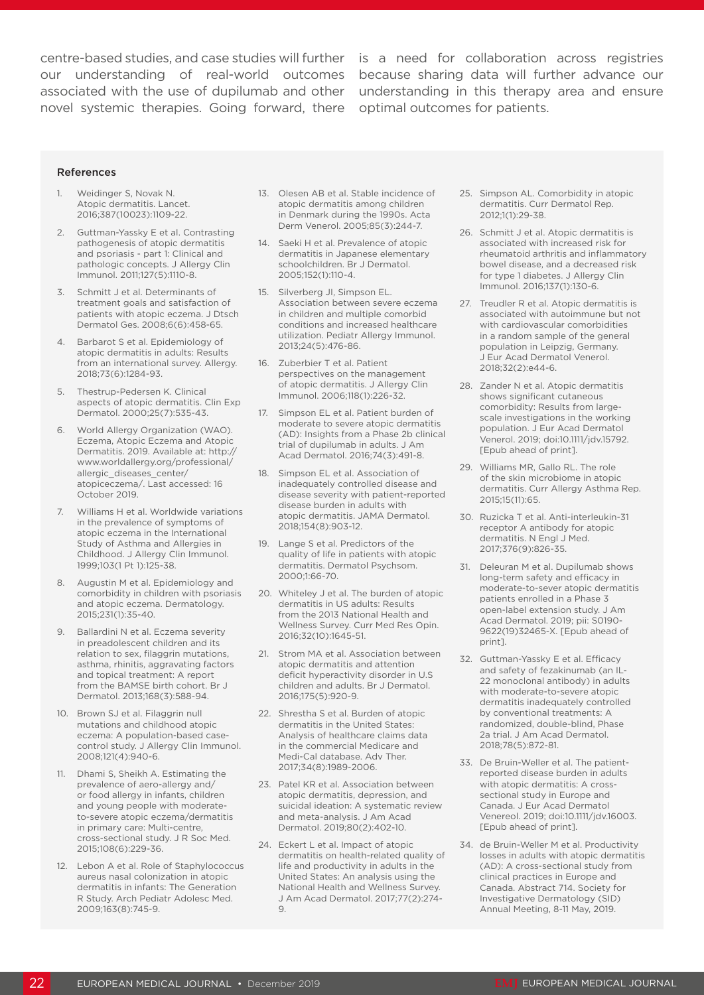novel systemic therapies. Going forward, there optimal outcomes for patients.

centre-based studies, and case studies will further is a need for collaboration across registries our understanding of real-world outcomes because sharing data will further advance our associated with the use of dupilumab and other understanding in this therapy area and ensure

#### References

- 1. Weidinger S, Novak N. Atopic dermatitis. Lancet. 2016;387(10023):1109-22.
- 2. Guttman-Yassky E et al. Contrasting pathogenesis of atopic dermatitis and psoriasis - part 1: Clinical and pathologic concepts. J Allergy Clin Immunol. 2011;127(5):1110-8.
- 3. Schmitt J et al. Determinants of treatment goals and satisfaction of patients with atopic eczema. J Dtsch Dermatol Ges. 2008;6(6):458-65.
- 4. Barbarot S et al. Epidemiology of atopic dermatitis in adults: Results from an international survey. Allergy. 2018;73(6):1284-93.
- 5. Thestrup-Pedersen K. Clinical aspects of atopic dermatitis. Clin Exp Dermatol. 2000;25(7):535-43.
- 6. World Allergy Organization (WAO). Eczema, Atopic Eczema and Atopic Dermatitis. 2019. Available at: http:// www.worldallergy.org/professional/ allergic\_diseases\_center/ atopiceczema/. Last accessed: 16 October 2019.
- 7. Williams H et al. Worldwide variations in the prevalence of symptoms of atopic eczema in the International Study of Asthma and Allergies in Childhood. J Allergy Clin Immunol. 1999;103(1 Pt 1):125-38.
- 8. Augustin M et al. Epidemiology and comorbidity in children with psoriasis and atopic eczema. Dermatology. 2015;231(1):35-40.
- 9. Ballardini N et al. Eczema severity in preadolescent children and its relation to sex, filaggrin mutations, asthma, rhinitis, aggravating factors and topical treatment: A report from the BAMSE birth cohort. Br J Dermatol. 2013;168(3):588-94.
- 10. Brown SJ et al. Filaggrin null mutations and childhood atopic eczema: A population-based casecontrol study. J Allergy Clin Immunol. 2008;121(4):940-6.
- 11. Dhami S, Sheikh A. Estimating the prevalence of aero-allergy and/ or food allergy in infants, children and young people with moderateto-severe atopic eczema/dermatitis in primary care: Multi-centre, cross-sectional study. J R Soc Med. 2015;108(6):229-36.
- 12. Lebon A et al. Role of Staphylococcus aureus nasal colonization in atopic dermatitis in infants: The Generation R Study. Arch Pediatr Adolesc Med. 2009;163(8):745-9.
- 13. Olesen AB et al. Stable incidence of atopic dermatitis among children in Denmark during the 1990s. Acta Derm Venerol. 2005;85(3):244-7.
- 14. Saeki H et al. Prevalence of atopic dermatitis in Japanese elementary schoolchildren. Br J Dermatol. 2005;152(1):110-4.
- 15. Silverberg JI, Simpson EL. Association between severe eczema in children and multiple comorbid conditions and increased healthcare utilization. Pediatr Allergy Immunol. 2013;24(5):476-86.
- 16. Zuberbier T et al. Patient perspectives on the management of atopic dermatitis. J Allergy Clin Immunol. 2006;118(1):226-32.
- 17. Simpson EL et al. Patient burden of moderate to severe atopic dermatitis (AD): Insights from a Phase 2b clinical trial of dupilumab in adults. J Am Acad Dermatol. 2016;74(3):491-8.
- 18. Simpson EL et al. Association of inadequately controlled disease and disease severity with patient-reported disease burden in adults with atopic dermatitis. JAMA Dermatol. 2018;154(8):903-12.
- 19. Lange S et al. Predictors of the quality of life in patients with atopic dermatitis. Dermatol Psychsom. 2000;1:66-70.
- 20. Whiteley J et al. The burden of atopic dermatitis in US adults: Results from the 2013 National Health and Wellness Survey. Curr Med Res Opin. 2016;32(10):1645-51.
- 21. Strom MA et al. Association between atopic dermatitis and attention deficit hyperactivity disorder in U.S children and adults. Br J Dermatol. 2016;175(5):920-9.
- 22. Shrestha S et al. Burden of atopic dermatitis in the United States: Analysis of healthcare claims data in the commercial Medicare and Medi-Cal database. Adv Ther. 2017;34(8):1989-2006.
- 23. Patel KR et al. Association between atopic dermatitis, depression, and suicidal ideation: A systematic review and meta-analysis. J Am Acad Dermatol. 2019;80(2):402-10.
- 24. Eckert L et al. Impact of atopic dermatitis on health-related quality of life and productivity in adults in the United States: An analysis using the National Health and Wellness Survey. J Am Acad Dermatol. 2017;77(2):274- 9.
- 25. Simpson AL. Comorbidity in atopic dermatitis. Curr Dermatol Rep. 2012;1(1):29-38.
- 26. Schmitt J et al. Atopic dermatitis is associated with increased risk for rheumatoid arthritis and inflammatory bowel disease, and a decreased risk for type 1 diabetes. J Allergy Clin Immunol. 2016;137(1):130-6.
- 27. Treudler R et al. Atopic dermatitis is associated with autoimmune but not with cardiovascular comorbidities in a random sample of the general population in Leipzig, Germany. J Eur Acad Dermatol Venerol. 2018;32(2):e44-6.
- 28. Zander N et al. Atopic dermatitis shows significant cutaneous comorbidity: Results from largescale investigations in the working population. J Eur Acad Dermatol Venerol. 2019; doi:10.1111/jdv.15792. [Epub ahead of print].
- 29. Williams MR, Gallo RL. The role of the skin microbiome in atopic dermatitis. Curr Allergy Asthma Rep. 2015;15(11):65.
- 30. Ruzicka T et al. Anti-interleukin-31 receptor A antibody for atopic dermatitis. N Engl J Med. 2017;376(9):826-35.
- 31. Deleuran M et al. Dupilumab shows long-term safety and efficacy in moderate-to-sever atopic dermatitis patients enrolled in a Phase 3 open-label extension study. J Am Acad Dermatol. 2019; pii: S0190- 9622(19)32465-X. [Epub ahead of print].
- 32. Guttman-Yassky E et al. Efficacy and safety of fezakinumab (an IL-22 monoclonal antibody) in adults with moderate-to-severe atopic dermatitis inadequately controlled by conventional treatments: A randomized, double-blind, Phase 2a trial. J Am Acad Dermatol. 2018;78(5):872-81.
- 33. De Bruin-Weller et al. The patientreported disease burden in adults with atopic dermatitis: A crosssectional study in Europe and Canada. J Eur Acad Dermatol Venereol. 2019; doi:10.1111/jdv.16003. [Epub ahead of print].
- 34. de Bruin-Weller M et al. Productivity losses in adults with atopic dermatitis (AD): A cross-sectional study from clinical practices in Europe and Canada. Abstract 714. Society for Investigative Dermatology (SID) Annual Meeting, 8-11 May, 2019.